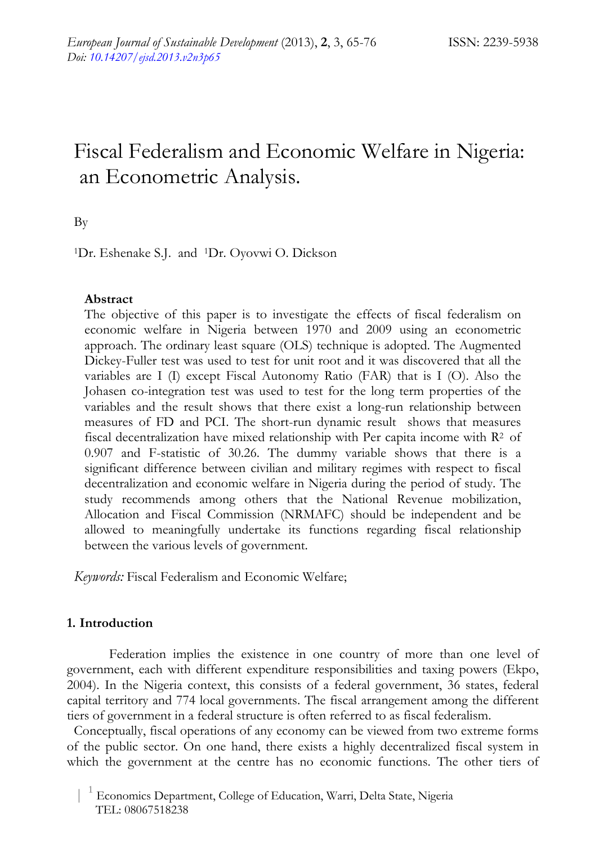# Fiscal Federalism and Economic Welfare in Nigeria: an Econometric Analysis.

By

1Dr. Eshenake S.J. and 1Dr. Oyovwi O. Dickson

# **Abstract**

The objective of this paper is to investigate the effects of fiscal federalism on economic welfare in Nigeria between 1970 and 2009 using an econometric approach. The ordinary least square (OLS) technique is adopted. The Augmented Dickey-Fuller test was used to test for unit root and it was discovered that all the variables are I (I) except Fiscal Autonomy Ratio (FAR) that is I (O). Also the Johasen co-integration test was used to test for the long term properties of the variables and the result shows that there exist a long-run relationship between measures of FD and PCI. The short-run dynamic result shows that measures fiscal decentralization have mixed relationship with Per capita income with R2 of 0.907 and F-statistic of 30.26. The dummy variable shows that there is a significant difference between civilian and military regimes with respect to fiscal decentralization and economic welfare in Nigeria during the period of study. The study recommends among others that the National Revenue mobilization, Allocation and Fiscal Commission (NRMAFC) should be independent and be allowed to meaningfully undertake its functions regarding fiscal relationship between the various levels of government.

*Keywords:* Fiscal Federalism and Economic Welfare;

# **1. Introduction**

Federation implies the existence in one country of more than one level of government, each with different expenditure responsibilities and taxing powers (Ekpo, 2004). In the Nigeria context, this consists of a federal government, 36 states, federal capital territory and 774 local governments. The fiscal arrangement among the different tiers of government in a federal structure is often referred to as fiscal federalism.

Conceptually, fiscal operations of any economy can be viewed from two extreme forms of the public sector. On one hand, there exists a highly decentralized fiscal system in which the government at the centre has no economic functions. The other tiers of

 $^{-1}$  Economics Department, College of Education, Warri, Delta State, Nigeria TEL: 08067518238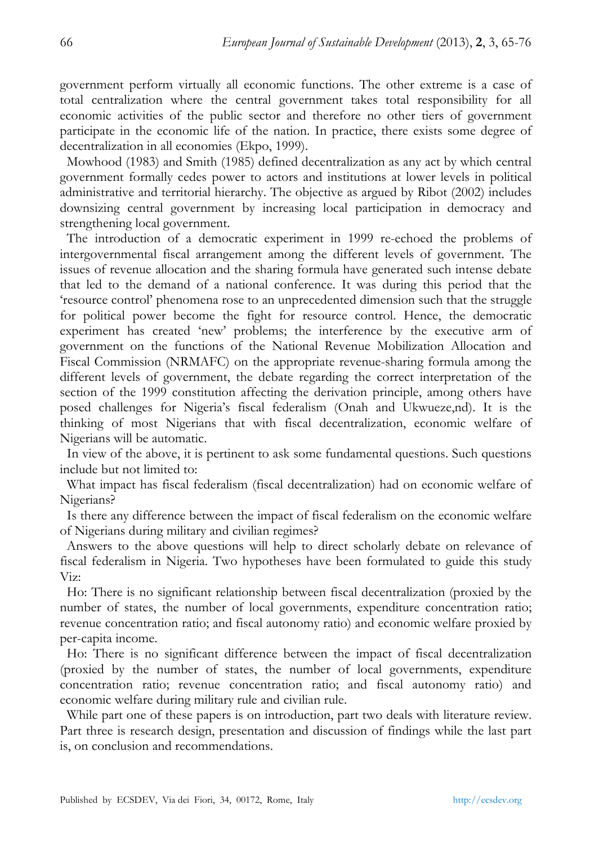government perform virtually all economic functions. The other extreme is a case of total centralization where the central government takes total responsibility for all economic activities of the public sector and therefore no other tiers of government participate in the economic life of the nation. In practice, there exists some degree of decentralization in all economies (Ekpo, 1999).

Mowhood (1983) and Smith (1985) defined decentralization as any act by which central government formally cedes power to actors and institutions at lower levels in political administrative and territorial hierarchy. The objective as argued by Ribot (2002) includes downsizing central government by increasing local participation in democracy and strengthening local government.

The introduction of a democratic experiment in 1999 re-echoed the problems of intergovernmental fiscal arrangement among the different levels of government. The issues of revenue allocation and the sharing formula have generated such intense debate that led to the demand of a national conference. It was during this period that the 'resource control' phenomena rose to an unprecedented dimension such that the struggle for political power become the fight for resource control. Hence, the democratic experiment has created 'new' problems; the interference by the executive arm of government on the functions of the National Revenue Mobilization Allocation and Fiscal Commission (NRMAFC) on the appropriate revenue-sharing formula among the different levels of government, the debate regarding the correct interpretation of the section of the 1999 constitution affecting the derivation principle, among others have posed challenges for Nigeria's fiscal federalism (Onah and Ukwueze,nd). It is the thinking of most Nigerians that with fiscal decentralization, economic welfare of Nigerians will be automatic.

In view of the above, it is pertinent to ask some fundamental questions. Such questions include but not limited to:

What impact has fiscal federalism (fiscal decentralization) had on economic welfare of Nigerians?

Is there any difference between the impact of fiscal federalism on the economic welfare of Nigerians during military and civilian regimes?

Answers to the above questions will help to direct scholarly debate on relevance of fiscal federalism in Nigeria. Two hypotheses have been formulated to guide this study Viz:

Ho: There is no significant relationship between fiscal decentralization (proxied by the number of states, the number of local governments, expenditure concentration ratio; revenue concentration ratio; and fiscal autonomy ratio) and economic welfare proxied by per-capita income.

Ho: There is no significant difference between the impact of fiscal decentralization (proxied by the number of states, the number of local governments, expenditure concentration ratio; revenue concentration ratio; and fiscal autonomy ratio) and economic welfare during military rule and civilian rule.

While part one of these papers is on introduction, part two deals with literature review. Part three is research design, presentation and discussion of findings while the last part is, on conclusion and recommendations.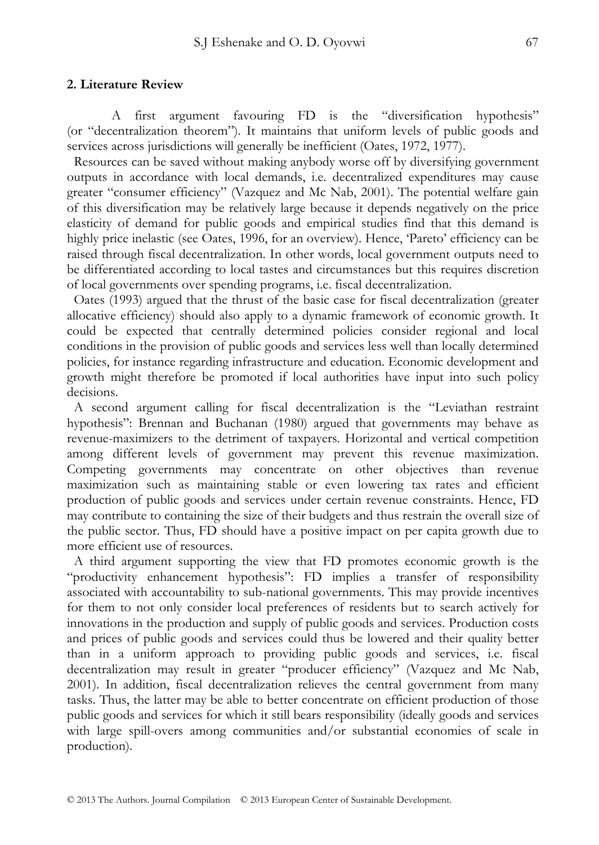#### **2. Literature Review**

A first argument favouring FD is the "diversification hypothesis" (or "decentralization theorem"). It maintains that uniform levels of public goods and services across jurisdictions will generally be inefficient (Oates, 1972, 1977).

Resources can be saved without making anybody worse off by diversifying government outputs in accordance with local demands, i.e. decentralized expenditures may cause greater "consumer efficiency" (Vazquez and Mc Nab, 2001). The potential welfare gain of this diversification may be relatively large because it depends negatively on the price elasticity of demand for public goods and empirical studies find that this demand is highly price inelastic (see Oates, 1996, for an overview). Hence, 'Pareto' efficiency can be raised through fiscal decentralization. In other words, local government outputs need to be differentiated according to local tastes and circumstances but this requires discretion of local governments over spending programs, i.e. fiscal decentralization.

Oates (1993) argued that the thrust of the basic case for fiscal decentralization (greater allocative efficiency) should also apply to a dynamic framework of economic growth. It could be expected that centrally determined policies consider regional and local conditions in the provision of public goods and services less well than locally determined policies, for instance regarding infrastructure and education. Economic development and growth might therefore be promoted if local authorities have input into such policy decisions.

A second argument calling for fiscal decentralization is the "Leviathan restraint hypothesis": Brennan and Buchanan (1980) argued that governments may behave as revenue-maximizers to the detriment of taxpayers. Horizontal and vertical competition among different levels of government may prevent this revenue maximization. Competing governments may concentrate on other objectives than revenue maximization such as maintaining stable or even lowering tax rates and efficient production of public goods and services under certain revenue constraints. Hence, FD may contribute to containing the size of their budgets and thus restrain the overall size of the public sector. Thus, FD should have a positive impact on per capita growth due to more efficient use of resources.

A third argument supporting the view that FD promotes economic growth is the "productivity enhancement hypothesis": FD implies a transfer of responsibility associated with accountability to sub-national governments. This may provide incentives for them to not only consider local preferences of residents but to search actively for innovations in the production and supply of public goods and services. Production costs and prices of public goods and services could thus be lowered and their quality better than in a uniform approach to providing public goods and services, i.e. fiscal decentralization may result in greater "producer efficiency" (Vazquez and Mc Nab, 2001). In addition, fiscal decentralization relieves the central government from many tasks. Thus, the latter may be able to better concentrate on efficient production of those public goods and services for which it still bears responsibility (ideally goods and services with large spill-overs among communities and/or substantial economies of scale in production).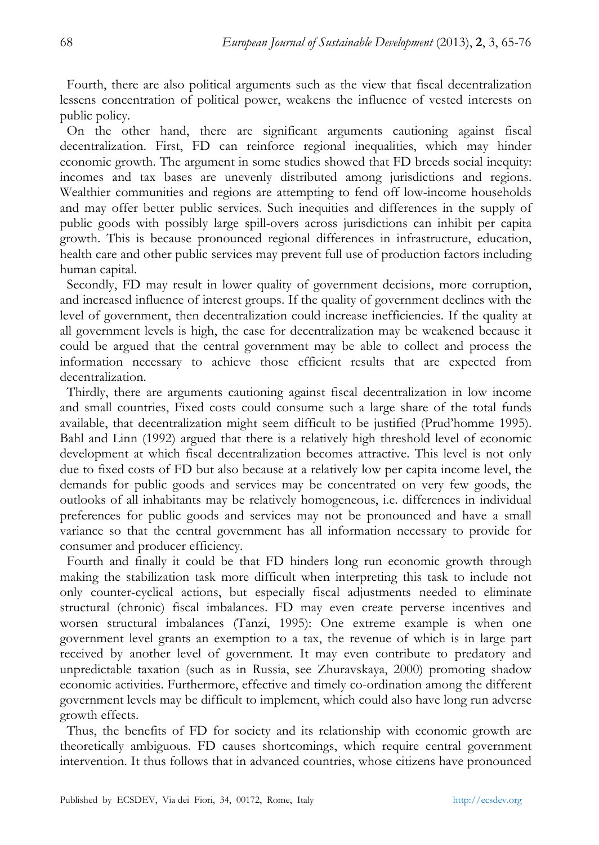Fourth, there are also political arguments such as the view that fiscal decentralization lessens concentration of political power, weakens the influence of vested interests on public policy.

On the other hand, there are significant arguments cautioning against fiscal decentralization. First, FD can reinforce regional inequalities, which may hinder economic growth. The argument in some studies showed that FD breeds social inequity: incomes and tax bases are unevenly distributed among jurisdictions and regions. Wealthier communities and regions are attempting to fend off low-income households and may offer better public services. Such inequities and differences in the supply of public goods with possibly large spill-overs across jurisdictions can inhibit per capita growth. This is because pronounced regional differences in infrastructure, education, health care and other public services may prevent full use of production factors including human capital.

Secondly, FD may result in lower quality of government decisions, more corruption, and increased influence of interest groups. If the quality of government declines with the level of government, then decentralization could increase inefficiencies. If the quality at all government levels is high, the case for decentralization may be weakened because it could be argued that the central government may be able to collect and process the information necessary to achieve those efficient results that are expected from decentralization.

Thirdly, there are arguments cautioning against fiscal decentralization in low income and small countries, Fixed costs could consume such a large share of the total funds available, that decentralization might seem difficult to be justified (Prud'homme 1995). Bahl and Linn (1992) argued that there is a relatively high threshold level of economic development at which fiscal decentralization becomes attractive. This level is not only due to fixed costs of FD but also because at a relatively low per capita income level, the demands for public goods and services may be concentrated on very few goods, the outlooks of all inhabitants may be relatively homogeneous, i.e. differences in individual preferences for public goods and services may not be pronounced and have a small variance so that the central government has all information necessary to provide for consumer and producer efficiency.

Fourth and finally it could be that FD hinders long run economic growth through making the stabilization task more difficult when interpreting this task to include not only counter-cyclical actions, but especially fiscal adjustments needed to eliminate structural (chronic) fiscal imbalances. FD may even create perverse incentives and worsen structural imbalances (Tanzi, 1995): One extreme example is when one government level grants an exemption to a tax, the revenue of which is in large part received by another level of government. It may even contribute to predatory and unpredictable taxation (such as in Russia, see Zhuravskaya, 2000) promoting shadow economic activities. Furthermore, effective and timely co-ordination among the different government levels may be difficult to implement, which could also have long run adverse growth effects.

Thus, the benefits of FD for society and its relationship with economic growth are theoretically ambiguous. FD causes shortcomings, which require central government intervention. It thus follows that in advanced countries, whose citizens have pronounced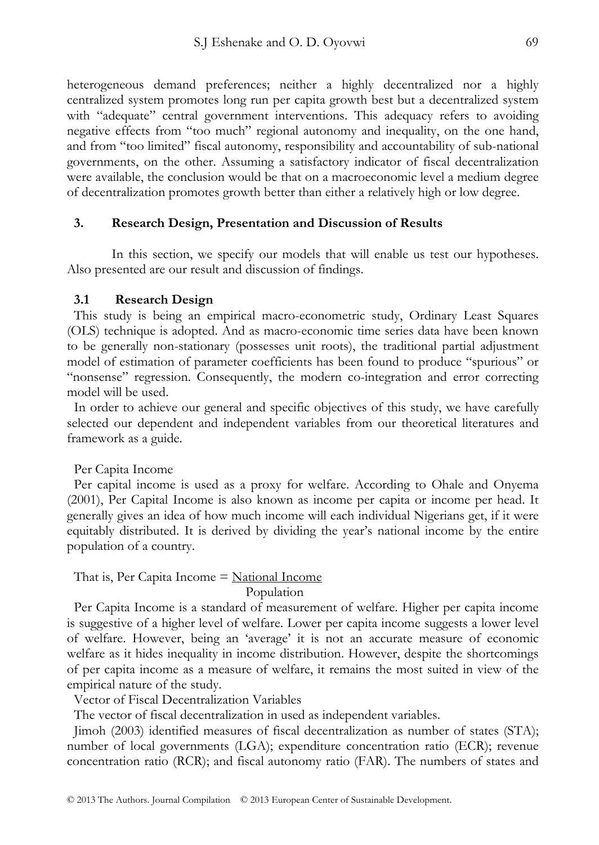heterogeneous demand preferences; neither a highly decentralized nor a highly centralized system promotes long run per capita growth best but a decentralized system with "adequate" central government interventions. This adequacy refers to avoiding negative effects from "too much" regional autonomy and inequality, on the one hand, and from "too limited" fiscal autonomy, responsibility and accountability of sub-national governments, on the other. Assuming a satisfactory indicator of fiscal decentralization were available, the conclusion would be that on a macroeconomic level a medium degree of decentralization promotes growth better than either a relatively high or low degree.

#### **3. Research Design, Presentation and Discussion of Results**

In this section, we specify our models that will enable us test our hypotheses. Also presented are our result and discussion of findings.

#### **3.1 Research Design**

This study is being an empirical macro-econometric study, Ordinary Least Squares (OLS) technique is adopted. And as macro-economic time series data have been known to be generally non-stationary (possesses unit roots), the traditional partial adjustment model of estimation of parameter coefficients has been found to produce "spurious" or "nonsense" regression. Consequently, the modern co-integration and error correcting model will be used.

In order to achieve our general and specific objectives of this study, we have carefully selected our dependent and independent variables from our theoretical literatures and framework as a guide.

Per Capita Income

Per capital income is used as a proxy for welfare. According to Ohale and Onyema (2001), Per Capital Income is also known as income per capita or income per head. It generally gives an idea of how much income will each individual Nigerians get, if it were equitably distributed. It is derived by dividing the year's national income by the entire population of a country.

#### That is, Per Capita Income  $=$  National Income Population

Per Capita Income is a standard of measurement of welfare. Higher per capita income is suggestive of a higher level of welfare. Lower per capita income suggests a lower level of welfare. However, being an 'average' it is not an accurate measure of economic welfare as it hides inequality in income distribution. However, despite the shortcomings of per capita income as a measure of welfare, it remains the most suited in view of the empirical nature of the study.

Vector of Fiscal Decentralization Variables

The vector of fiscal decentralization in used as independent variables.

Jimoh (2003) identified measures of fiscal decentralization as number of states (STA); number of local governments (LGA); expenditure concentration ratio (ECR); revenue concentration ratio (RCR); and fiscal autonomy ratio (FAR). The numbers of states and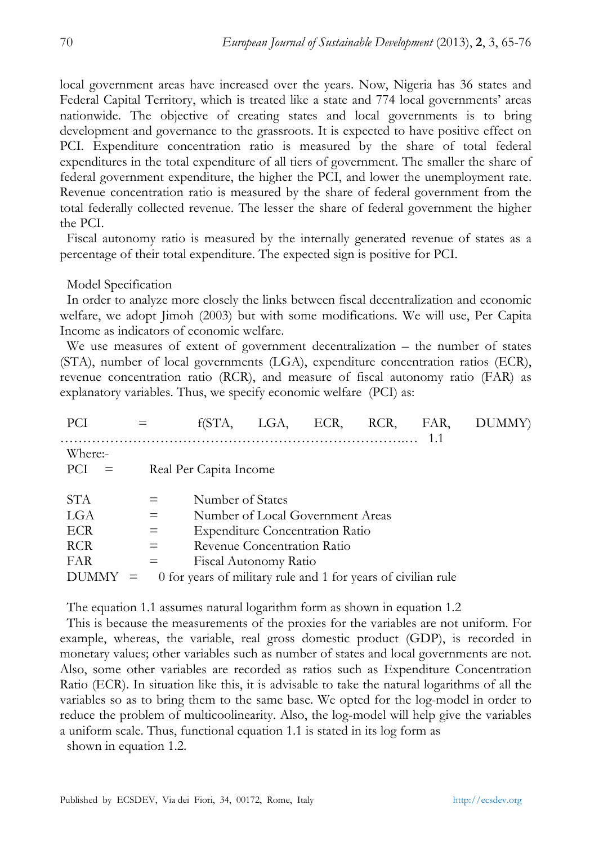local government areas have increased over the years. Now, Nigeria has 36 states and Federal Capital Territory, which is treated like a state and 774 local governments' areas nationwide. The objective of creating states and local governments is to bring development and governance to the grassroots. It is expected to have positive effect on PCI. Expenditure concentration ratio is measured by the share of total federal expenditures in the total expenditure of all tiers of government. The smaller the share of federal government expenditure, the higher the PCI, and lower the unemployment rate. Revenue concentration ratio is measured by the share of federal government from the total federally collected revenue. The lesser the share of federal government the higher the PCI.

Fiscal autonomy ratio is measured by the internally generated revenue of states as a percentage of their total expenditure. The expected sign is positive for PCI.

Model Specification

In order to analyze more closely the links between fiscal decentralization and economic welfare, we adopt Jimoh (2003) but with some modifications. We will use, Per Capita Income as indicators of economic welfare.

We use measures of extent of government decentralization – the number of states (STA), number of local governments (LGA), expenditure concentration ratios (ECR), revenue concentration ratio (RCR), and measure of fiscal autonomy ratio (FAR) as explanatory variables. Thus, we specify economic welfare (PCI) as:

| <b>PCI</b>                                                    |                          | f(STA.                                                                            | LGA.                                                 | ECR.                                                                       | RCR, | FAR, | DUMMY) |
|---------------------------------------------------------------|--------------------------|-----------------------------------------------------------------------------------|------------------------------------------------------|----------------------------------------------------------------------------|------|------|--------|
| Where:-<br><b>PCI</b>                                         |                          | Real Per Capita Income                                                            |                                                      |                                                                            |      |      |        |
| <b>STA</b><br>LGA<br><b>ECR</b><br><b>RCR</b><br>FAR<br>DUMMY | $=$<br>$=$<br>$=$<br>$=$ | Number of States<br>0 for years of military rule and 1 for years of civilian rule | Revenue Concentration Ratio<br>Fiscal Autonomy Ratio | Number of Local Government Areas<br><b>Expenditure Concentration Ratio</b> |      |      |        |

The equation 1.1 assumes natural logarithm form as shown in equation 1.2

This is because the measurements of the proxies for the variables are not uniform. For example, whereas, the variable, real gross domestic product (GDP), is recorded in monetary values; other variables such as number of states and local governments are not. Also, some other variables are recorded as ratios such as Expenditure Concentration Ratio (ECR). In situation like this, it is advisable to take the natural logarithms of all the variables so as to bring them to the same base. We opted for the log-model in order to reduce the problem of multicoolinearity. Also, the log-model will help give the variables a uniform scale. Thus, functional equation 1.1 is stated in its log form as

shown in equation 1.2.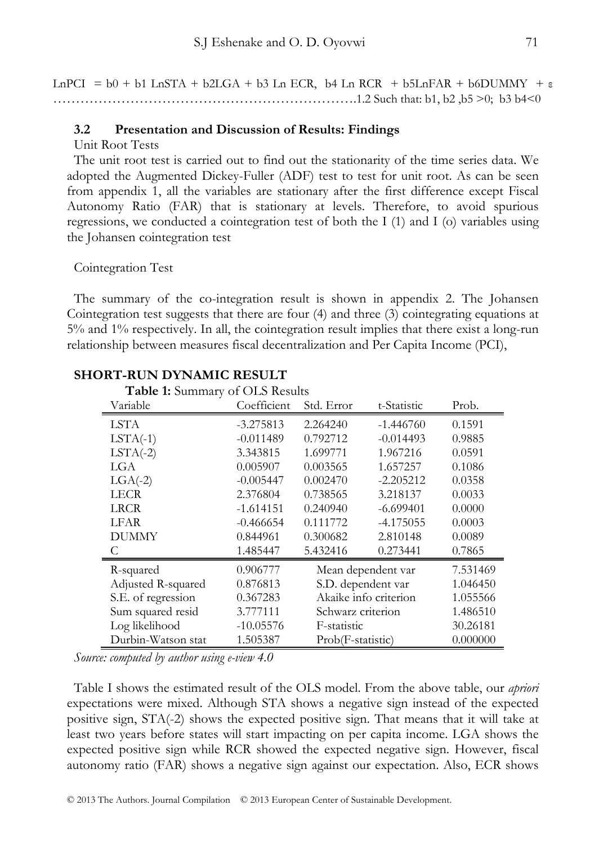LnPCI =  $b0 + b1$  LnSTA +  $b2LGA + b3$  Ln ECR,  $b4$  Ln RCR +  $b5LnFAR + b6DUMMY + \epsilon$ ………………………………………………………….1.2 Such that: b1, b2 ,b5 >0; b3 b4<0

#### **3.2 Presentation and Discussion of Results: Findings**

Unit Root Tests

The unit root test is carried out to find out the stationarity of the time series data. We adopted the Augmented Dickey-Fuller (ADF) test to test for unit root. As can be seen from appendix 1, all the variables are stationary after the first difference except Fiscal Autonomy Ratio (FAR) that is stationary at levels. Therefore, to avoid spurious regressions, we conducted a cointegration test of both the I (1) and I (o) variables using the Johansen cointegration test

Cointegration Test

The summary of the co-integration result is shown in appendix 2. The Johansen Cointegration test suggests that there are four (4) and three (3) cointegrating equations at 5% and 1% respectively. In all, the cointegration result implies that there exist a long-run relationship between measures fiscal decentralization and Per Capita Income (PCI),

| Table 1: Summary of OLS Results |             |                       |             |          |
|---------------------------------|-------------|-----------------------|-------------|----------|
| Variable                        | Coefficient | Std. Error            | t-Statistic | Prob.    |
| <b>LSTA</b>                     | $-3.275813$ | 2.264240              | $-1.446760$ | 0.1591   |
| $LSTA(-1)$                      | $-0.011489$ | 0.792712              | $-0.014493$ | 0.9885   |
| $LSTA(-2)$                      | 3.343815    | 1.699771              | 1.967216    | 0.0591   |
| LGA                             | 0.005907    | 0.003565              | 1.657257    | 0.1086   |
| $LGA(-2)$                       | $-0.005447$ | 0.002470              | $-2.205212$ | 0.0358   |
| <b>LECR</b>                     | 2.376804    | 0.738565              | 3.218137    | 0.0033   |
| <b>LRCR</b>                     | $-1.614151$ | 0.240940              | $-6.699401$ | 0.0000   |
| <b>LFAR</b>                     | $-0.466654$ | 0.111772              | $-4.175055$ | 0.0003   |
| <b>DUMMY</b>                    | 0.844961    | 0.300682              | 2.810148    | 0.0089   |
| C                               | 1.485447    | 5.432416              | 0.273441    | 0.7865   |
| R-squared                       | 0.906777    | Mean dependent var    |             | 7.531469 |
| Adjusted R-squared              | 0.876813    | S.D. dependent var    |             | 1.046450 |
| S.E. of regression              | 0.367283    | Akaike info criterion |             | 1.055566 |
| Sum squared resid               | 3.777111    | Schwarz criterion     |             | 1.486510 |
| Log likelihood                  | $-10.05576$ | F-statistic           |             | 30.26181 |
| Durbin-Watson stat              | 1.505387    | Prob(F-statistic)     |             | 0.000000 |

# **SHORT-RUN DYNAMIC RESULT**

*Source: computed by author using e-view 4.0* 

Table I shows the estimated result of the OLS model. From the above table, our *apriori* expectations were mixed. Although STA shows a negative sign instead of the expected positive sign, STA(-2) shows the expected positive sign. That means that it will take at least two years before states will start impacting on per capita income. LGA shows the expected positive sign while RCR showed the expected negative sign. However, fiscal autonomy ratio (FAR) shows a negative sign against our expectation. Also, ECR shows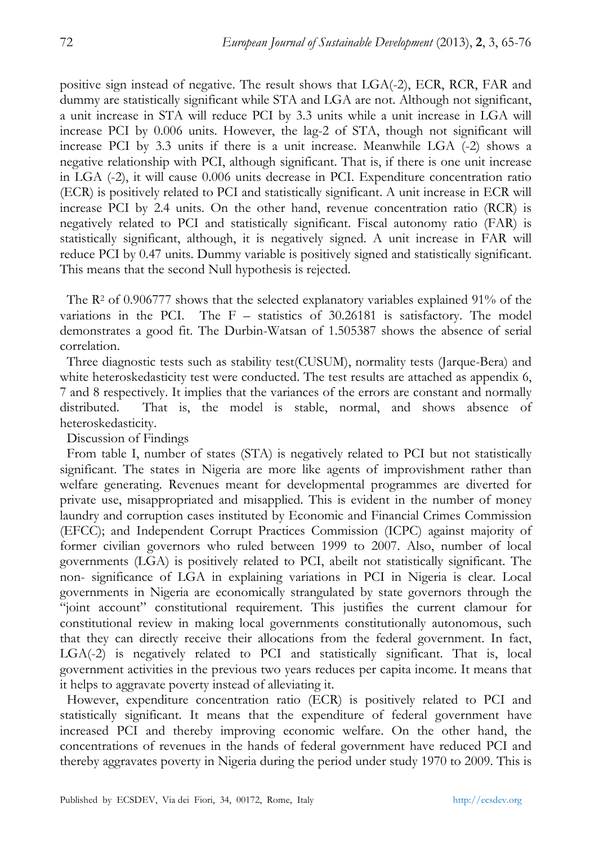positive sign instead of negative. The result shows that LGA(-2), ECR, RCR, FAR and dummy are statistically significant while STA and LGA are not. Although not significant, a unit increase in STA will reduce PCI by 3.3 units while a unit increase in LGA will increase PCI by 0.006 units. However, the lag-2 of STA, though not significant will increase PCI by 3.3 units if there is a unit increase. Meanwhile LGA (-2) shows a negative relationship with PCI, although significant. That is, if there is one unit increase in LGA (-2), it will cause 0.006 units decrease in PCI. Expenditure concentration ratio (ECR) is positively related to PCI and statistically significant. A unit increase in ECR will increase PCI by 2.4 units. On the other hand, revenue concentration ratio (RCR) is negatively related to PCI and statistically significant. Fiscal autonomy ratio (FAR) is statistically significant, although, it is negatively signed. A unit increase in FAR will reduce PCI by 0.47 units. Dummy variable is positively signed and statistically significant. This means that the second Null hypothesis is rejected.

The  $\mathbb{R}^2$  of 0.906777 shows that the selected explanatory variables explained 91% of the variations in the PCI. The  $F -$  statistics of 30.26181 is satisfactory. The model demonstrates a good fit. The Durbin-Watsan of 1.505387 shows the absence of serial correlation.

Three diagnostic tests such as stability test(CUSUM), normality tests (Jarque-Bera) and white heteroskedasticity test were conducted. The test results are attached as appendix 6, 7 and 8 respectively. It implies that the variances of the errors are constant and normally distributed. That is, the model is stable, normal, and shows absence of heteroskedasticity.

Discussion of Findings

From table I, number of states (STA) is negatively related to PCI but not statistically significant. The states in Nigeria are more like agents of improvishment rather than welfare generating. Revenues meant for developmental programmes are diverted for private use, misappropriated and misapplied. This is evident in the number of money laundry and corruption cases instituted by Economic and Financial Crimes Commission (EFCC); and Independent Corrupt Practices Commission (ICPC) against majority of former civilian governors who ruled between 1999 to 2007. Also, number of local governments (LGA) is positively related to PCI, abeilt not statistically significant. The non- significance of LGA in explaining variations in PCI in Nigeria is clear. Local governments in Nigeria are economically strangulated by state governors through the "joint account" constitutional requirement. This justifies the current clamour for constitutional review in making local governments constitutionally autonomous, such that they can directly receive their allocations from the federal government. In fact, LGA(-2) is negatively related to PCI and statistically significant. That is, local government activities in the previous two years reduces per capita income. It means that it helps to aggravate poverty instead of alleviating it.

However, expenditure concentration ratio (ECR) is positively related to PCI and statistically significant. It means that the expenditure of federal government have increased PCI and thereby improving economic welfare. On the other hand, the concentrations of revenues in the hands of federal government have reduced PCI and thereby aggravates poverty in Nigeria during the period under study 1970 to 2009. This is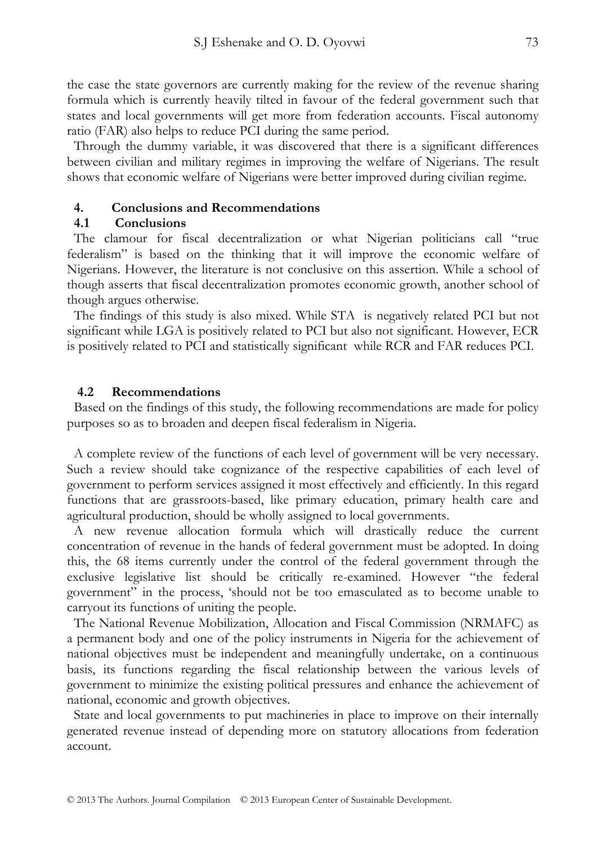the case the state governors are currently making for the review of the revenue sharing formula which is currently heavily tilted in favour of the federal government such that states and local governments will get more from federation accounts. Fiscal autonomy ratio (FAR) also helps to reduce PCI during the same period.

Through the dummy variable, it was discovered that there is a significant differences between civilian and military regimes in improving the welfare of Nigerians. The result shows that economic welfare of Nigerians were better improved during civilian regime.

## **4. Conclusions and Recommendations**

#### **4.1 Conclusions**

The clamour for fiscal decentralization or what Nigerian politicians call "true federalism" is based on the thinking that it will improve the economic welfare of Nigerians. However, the literature is not conclusive on this assertion. While a school of though asserts that fiscal decentralization promotes economic growth, another school of though argues otherwise.

The findings of this study is also mixed. While STA is negatively related PCI but not significant while LGA is positively related to PCI but also not significant. However, ECR is positively related to PCI and statistically significant while RCR and FAR reduces PCI.

#### **4.2 Recommendations**

Based on the findings of this study, the following recommendations are made for policy purposes so as to broaden and deepen fiscal federalism in Nigeria.

A complete review of the functions of each level of government will be very necessary. Such a review should take cognizance of the respective capabilities of each level of government to perform services assigned it most effectively and efficiently. In this regard functions that are grassroots-based, like primary education, primary health care and agricultural production, should be wholly assigned to local governments.

A new revenue allocation formula which will drastically reduce the current concentration of revenue in the hands of federal government must be adopted. In doing this, the 68 items currently under the control of the federal government through the exclusive legislative list should be critically re-examined. However "the federal government" in the process, 'should not be too emasculated as to become unable to carryout its functions of uniting the people.

The National Revenue Mobilization, Allocation and Fiscal Commission (NRMAFC) as a permanent body and one of the policy instruments in Nigeria for the achievement of national objectives must be independent and meaningfully undertake, on a continuous basis, its functions regarding the fiscal relationship between the various levels of government to minimize the existing political pressures and enhance the achievement of national, economic and growth objectives.

State and local governments to put machineries in place to improve on their internally generated revenue instead of depending more on statutory allocations from federation account.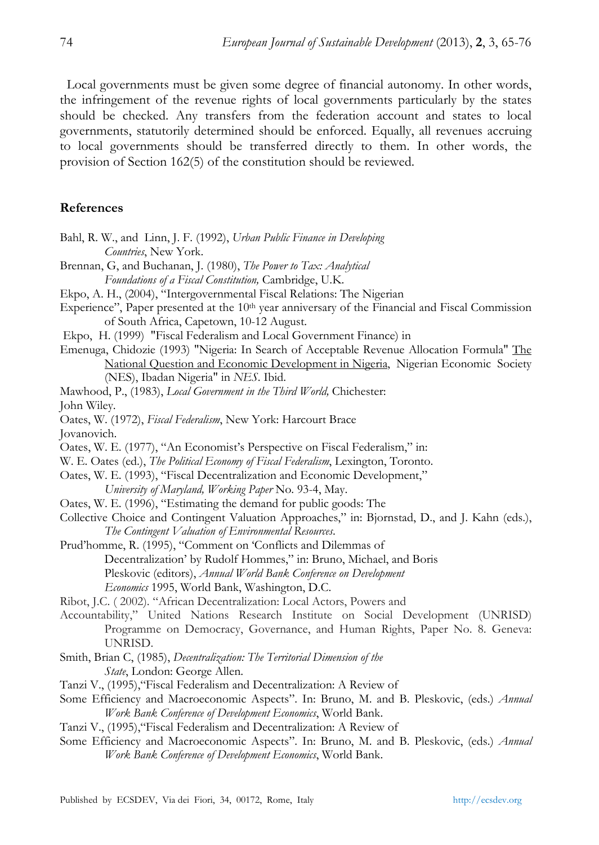Local governments must be given some degree of financial autonomy. In other words, the infringement of the revenue rights of local governments particularly by the states should be checked. Any transfers from the federation account and states to local governments, statutorily determined should be enforced. Equally, all revenues accruing to local governments should be transferred directly to them. In other words, the provision of Section 162(5) of the constitution should be reviewed.

### **References**

- Bahl, R. W., and Linn, J. F. (1992), *Urban Public Finance in Developing Countries*, New York.
- Brennan, G, and Buchanan, J. (1980), *The Power to Tax: Analytical Foundations of a Fiscal Constitution,* Cambridge, U.K.
- Ekpo, A. H., (2004), "Intergovernmental Fiscal Relations: The Nigerian
- Experience", Paper presented at the 10<sup>th</sup> year anniversary of the Financial and Fiscal Commission of South Africa, Capetown, 10-12 August.
- Ekpo, H. (1999) "Fiscal Federalism and Local Government Finance) in
- Emenuga, Chidozie (1993) "Nigeria: In Search of Acceptable Revenue Allocation Formula" The National Question and Economic Development in Nigeria, Nigerian Economic Society (NES), Ibadan Nigeria" in *NES*. Ibid.
- Mawhood, P., (1983), *Local Government in the Third World,* Chichester: John Wiley.
- Oates, W. (1972), *Fiscal Federalism*, New York: Harcourt Brace
- Jovanovich.
- Oates, W. E. (1977), "An Economist's Perspective on Fiscal Federalism," in:
- W. E. Oates (ed.), *The Political Economy of Fiscal Federalism*, Lexington, Toronto.
- Oates, W. E. (1993), "Fiscal Decentralization and Economic Development,"
	- *University of Maryland, Working Paper* No. 93-4, May.
- Oates, W. E. (1996), "Estimating the demand for public goods: The
- Collective Choice and Contingent Valuation Approaches," in: Bjornstad, D., and J. Kahn (eds.), *The Contingent Valuation of Environmental Resources*.
- Prud'homme, R. (1995), "Comment on 'Conflicts and Dilemmas of Decentralization' by Rudolf Hommes," in: Bruno, Michael, and Boris Pleskovic (editors), *Annual World Bank Conference on Development Economics* 1995, World Bank, Washington, D.C.
- Ribot, J.C. ( 2002). "African Decentralization: Local Actors, Powers and
- Accountability," United Nations Research Institute on Social Development (UNRISD) Programme on Democracy, Governance, and Human Rights, Paper No. 8. Geneva: UNRISD.
- Smith, Brian C, (1985), *Decentralization: The Territorial Dimension of the State*, London: George Allen.
- Tanzi V., (1995),"Fiscal Federalism and Decentralization: A Review of
- Some Efficiency and Macroeconomic Aspects". In: Bruno, M. and B. Pleskovic, (eds.) *Annual Work Bank Conference of Development Economics*, World Bank.
- Tanzi V., (1995),"Fiscal Federalism and Decentralization: A Review of
- Some Efficiency and Macroeconomic Aspects". In: Bruno, M. and B. Pleskovic, (eds.) *Annual Work Bank Conference of Development Economics*, World Bank.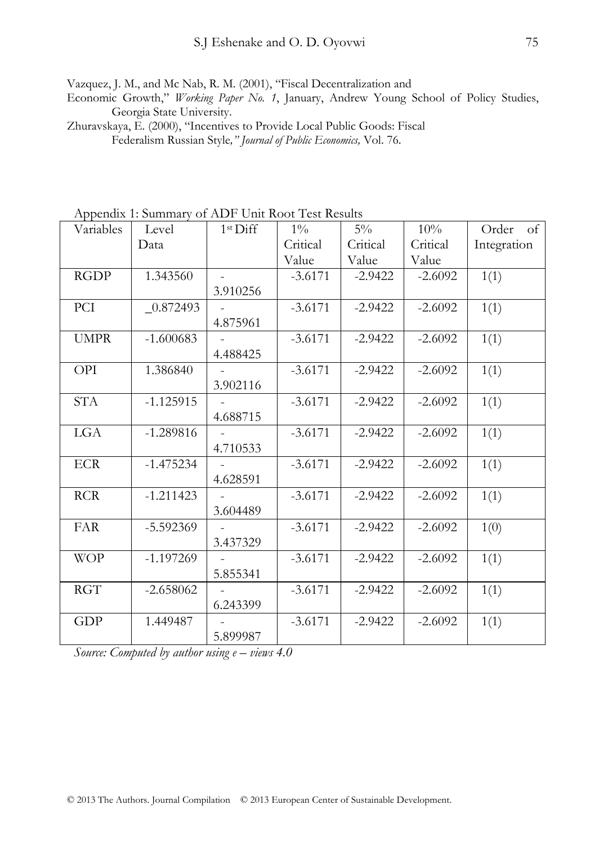Vazquez, J. M., and Mc Nab, R. M. (2001), "Fiscal Decentralization and

Economic Growth," *Working Paper No. 1*, January, Andrew Young School of Policy Studies, Georgia State University.

Zhuravskaya, E. (2000), "Incentives to Provide Local Public Goods: Fiscal Federalism Russian Style*," Journal of Public Economics,* Vol. 76.

Appendix 1: Summary of ADF Unit Root Test Results

| Variables   | Level       | 1 <sup>st</sup> Diff | $1\%$     | $5\%$     | 10%       | Order of    |
|-------------|-------------|----------------------|-----------|-----------|-----------|-------------|
|             | Data        |                      | Critical  | Critical  | Critical  | Integration |
|             |             |                      | Value     | Value     | Value     |             |
| <b>RGDP</b> | 1.343560    |                      | $-3.6171$ | $-2.9422$ | $-2.6092$ | 1(1)        |
|             |             | 3.910256             |           |           |           |             |
| PCI         | $-0.872493$ |                      | $-3.6171$ | $-2.9422$ | $-2.6092$ | 1(1)        |
|             |             | 4.875961             |           |           |           |             |
| <b>UMPR</b> | $-1.600683$ |                      | $-3.6171$ | $-2.9422$ | $-2.6092$ | 1(1)        |
|             |             | 4.488425             |           |           |           |             |
| OPI         | 1.386840    |                      | $-3.6171$ | $-2.9422$ | $-2.6092$ | 1(1)        |
|             |             | 3.902116             |           |           |           |             |
| <b>STA</b>  | $-1.125915$ |                      | $-3.6171$ | $-2.9422$ | $-2.6092$ | 1(1)        |
|             |             | 4.688715             |           |           |           |             |
| LGA         | $-1.289816$ |                      | $-3.6171$ | $-2.9422$ | $-2.6092$ | 1(1)        |
|             |             | 4.710533             |           |           |           |             |
| <b>ECR</b>  | $-1.475234$ |                      | $-3.6171$ | $-2.9422$ | $-2.6092$ | 1(1)        |
|             |             | 4.628591             |           |           |           |             |
| <b>RCR</b>  | $-1.211423$ |                      | $-3.6171$ | $-2.9422$ | $-2.6092$ | 1(1)        |
|             |             | 3.604489             |           |           |           |             |
| <b>FAR</b>  | $-5.592369$ |                      | $-3.6171$ | $-2.9422$ | $-2.6092$ | 1(0)        |
|             |             | 3.437329             |           |           |           |             |
| <b>WOP</b>  | $-1.197269$ |                      | $-3.6171$ | $-2.9422$ | $-2.6092$ | 1(1)        |
|             |             | 5.855341             |           |           |           |             |
| <b>RGT</b>  | $-2.658062$ |                      | $-3.6171$ | $-2.9422$ | $-2.6092$ | 1(1)        |
|             |             | 6.243399             |           |           |           |             |
| <b>GDP</b>  | 1.449487    |                      | $-3.6171$ | $-2.9422$ | $-2.6092$ | 1(1)        |
|             |             | 5.899987             |           |           |           |             |

*Source: Computed by author using e – views 4.0*